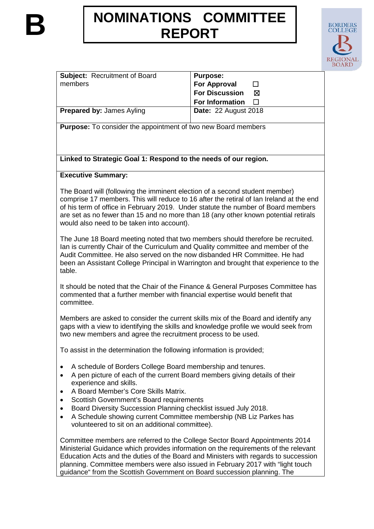# **NOMINATIONS COMMITTEE**<br>REPORT



| <b>Subject: Recruitment of Board</b> | <b>Purpose:</b>             |
|--------------------------------------|-----------------------------|
| members                              | For Approval                |
|                                      | For Discussion<br>⊠         |
|                                      | For Information $\square$   |
| <b>Prepared by: James Ayling</b>     | <b>Date: 22 August 2018</b> |

**Purpose:** To consider the appointment of two new Board members

**Linked to Strategic Goal 1: Respond to the needs of our region.**

## **Executive Summary:**

The Board will (following the imminent election of a second student member) comprise 17 members. This will reduce to 16 after the retiral of Ian Ireland at the end of his term of office in February 2019. Under statute the number of Board members are set as no fewer than 15 and no more than 18 (any other known potential retirals would also need to be taken into account).

The June 18 Board meeting noted that two members should therefore be recruited. Ian is currently Chair of the Curriculum and Quality committee and member of the Audit Committee. He also served on the now disbanded HR Committee. He had been an Assistant College Principal in Warrington and brought that experience to the table.

It should be noted that the Chair of the Finance & General Purposes Committee has commented that a further member with financial expertise would benefit that committee.

Members are asked to consider the current skills mix of the Board and identify any gaps with a view to identifying the skills and knowledge profile we would seek from two new members and agree the recruitment process to be used.

To assist in the determination the following information is provided;

- A schedule of Borders College Board membership and tenures.
- A pen picture of each of the current Board members giving details of their experience and skills.
- A Board Member's Core Skills Matrix.
- Scottish Government's Board requirements
- Board Diversity Succession Planning checklist issued July 2018.
- A Schedule showing current Committee membership (NB Liz Parkes has volunteered to sit on an additional committee).

Committee members are referred to the College Sector Board Appointments 2014 Ministerial Guidance which provides information on the requirements of the relevant Education Acts and the duties of the Board and Ministers with regards to succession planning. Committee members were also issued in February 2017 with "light touch guidance" from the Scottish Government on Board succession planning. The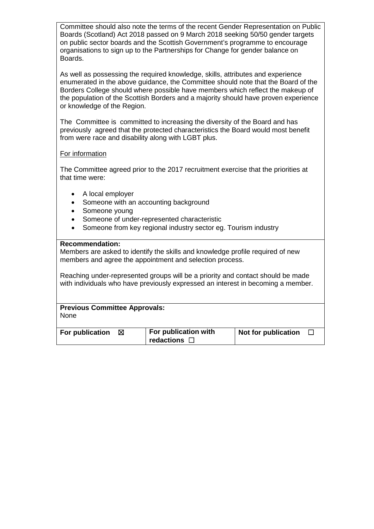Committee should also note the terms of the recent Gender Representation on Public Boards (Scotland) Act 2018 passed on 9 March 2018 seeking 50/50 gender targets on public sector boards and the Scottish Government's programme to encourage organisations to sign up to the Partnerships for Change for gender balance on Boards.

As well as possessing the required knowledge, skills, attributes and experience enumerated in the above guidance, the Committee should note that the Board of the Borders College should where possible have members which reflect the makeup of the population of the Scottish Borders and a majority should have proven experience or knowledge of the Region.

The Committee is committed to increasing the diversity of the Board and has previously agreed that the protected characteristics the Board would most benefit from were race and disability along with LGBT plus.

## For information

The Committee agreed prior to the 2017 recruitment exercise that the priorities at that time were:

- A local employer
- Someone with an accounting background
- Someone young
- Someone of under-represented characteristic
- Someone from key regional industry sector eg. Tourism industry

## **Recommendation:**

Members are asked to identify the skills and knowledge profile required of new members and agree the appointment and selection process.

Reaching under-represented groups will be a priority and contact should be made with individuals who have previously expressed an interest in becoming a member.

**Previous Committee Approvals:** None

| For publication | ⊠ | For publication with | Not for publication |  |
|-----------------|---|----------------------|---------------------|--|
|                 |   | redactions           |                     |  |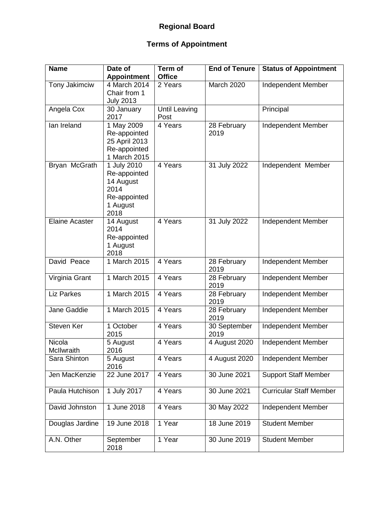# **Regional Board**

# **Terms of Appointment**

| <b>Name</b>           | Date of<br><b>Appointment</b>                                                        | Term of<br><b>Office</b>     | <b>End of Tenure</b> | <b>Status of Appointment</b>   |
|-----------------------|--------------------------------------------------------------------------------------|------------------------------|----------------------|--------------------------------|
| Tony Jakimciw         | 4 March 2014<br>Chair from 1<br><b>July 2013</b>                                     | 2 Years                      | March 2020           | Independent Member             |
| Angela Cox            | 30 January<br>2017                                                                   | <b>Until Leaving</b><br>Post |                      | Principal                      |
| lan Ireland           | 1 May 2009<br>Re-appointed<br>25 April 2013<br>Re-appointed<br>1 March 2015          | 4 Years                      | 28 February<br>2019  | Independent Member             |
| Bryan McGrath         | 1 July 2010<br>Re-appointed<br>14 August<br>2014<br>Re-appointed<br>1 August<br>2018 | 4 Years                      | 31 July 2022         | Independent Member             |
| <b>Elaine Acaster</b> | 14 August<br>2014<br>Re-appointed<br>1 August<br>2018                                | 4 Years                      | 31 July 2022         | Independent Member             |
| David Peace           | 1 March 2015                                                                         | 4 Years                      | 28 February<br>2019  | Independent Member             |
| Virginia Grant        | 1 March 2015                                                                         | 4 Years                      | 28 February<br>2019  | Independent Member             |
| <b>Liz Parkes</b>     | 1 March 2015                                                                         | 4 Years                      | 28 February<br>2019  | Independent Member             |
| Jane Gaddie           | 1 March 2015                                                                         | 4 Years                      | 28 February<br>2019  | Independent Member             |
| Steven Ker            | 1 October<br>2015                                                                    | 4 Years                      | 30 September<br>2019 | Independent Member             |
| Nicola<br>McIlwraith  | 5 August<br>2016                                                                     | 4 Years                      | 4 August 2020        | Independent Member             |
| Sara Shinton          | 5 August<br>2016                                                                     | 4 Years                      | 4 August 2020        | Independent Member             |
| Jen MacKenzie         | 22 June 2017                                                                         | 4 Years                      | 30 June 2021         | <b>Support Staff Member</b>    |
| Paula Hutchison       | 1 July 2017                                                                          | 4 Years                      | 30 June 2021         | <b>Curricular Staff Member</b> |
| David Johnston        | 1 June 2018                                                                          | 4 Years                      | 30 May 2022          | Independent Member             |
| Douglas Jardine       | 19 June 2018                                                                         | 1 Year                       | 18 June 2019         | <b>Student Member</b>          |
| A.N. Other            | September<br>2018                                                                    | 1 Year                       | 30 June 2019         | <b>Student Member</b>          |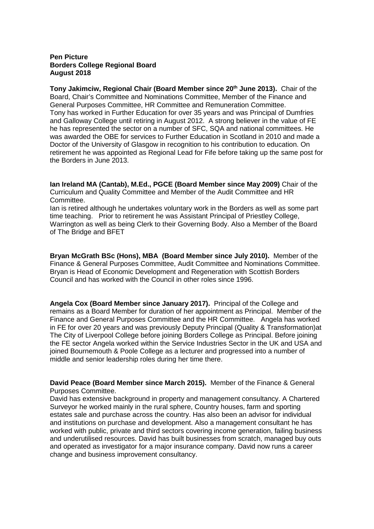#### **Pen Picture Borders College Regional Board August 2018**

**Tony Jakimciw, Regional Chair (Board Member since 20th June 2013).** Chair of the Board, Chair's Committee and Nominations Committee, Member of the Finance and General Purposes Committee, HR Committee and Remuneration Committee. Tony has worked in Further Education for over 35 years and was Principal of Dumfries and Galloway College until retiring in August 2012. A strong believer in the value of FE he has represented the sector on a number of SFC, SQA and national committees. He was awarded the OBE for services to Further Education in Scotland in 2010 and made a Doctor of the University of Glasgow in recognition to his contribution to education. On retirement he was appointed as Regional Lead for Fife before taking up the same post for the Borders in June 2013.

**Ian Ireland MA (Cantab), M.Ed., PGCE (Board Member since May 2009)** Chair of the Curriculum and Quality Committee and Member of the Audit Committee and HR Committee.

Ian is retired although he undertakes voluntary work in the Borders as well as some part time teaching. Prior to retirement he was Assistant Principal of Priestley College, Warrington as well as being Clerk to their Governing Body. Also a Member of the Board of The Bridge and BFET

**Bryan McGrath BSc (Hons), MBA (Board Member since July 2010).** Member of the Finance & General Purposes Committee, Audit Committee and Nominations Committee. Bryan is Head of Economic Development and Regeneration with Scottish Borders Council and has worked with the Council in other roles since 1996.

**Angela Cox (Board Member since January 2017).** Principal of the College and remains as a Board Member for duration of her appointment as Principal. Member of the Finance and General Purposes Committee and the HR Committee. Angela has worked in FE for over 20 years and was previously Deputy Principal (Quality & Transformation)at The City of Liverpool College before joining Borders College as Principal. Before joining the FE sector Angela worked within the Service Industries Sector in the UK and USA and joined Bournemouth & Poole College as a lecturer and progressed into a number of middle and senior leadership roles during her time there.

**David Peace (Board Member since March 2015).** Member of the Finance & General Purposes Committee.

David has extensive background in property and management consultancy. A Chartered Surveyor he worked mainly in the rural sphere, Country houses, farm and sporting estates sale and purchase across the country. Has also been an advisor for individual and institutions on purchase and development. Also a management consultant he has worked with public, private and third sectors covering income generation, failing business and underutilised resources. David has built businesses from scratch, managed buy outs and operated as investigator for a major insurance company. David now runs a career change and business improvement consultancy.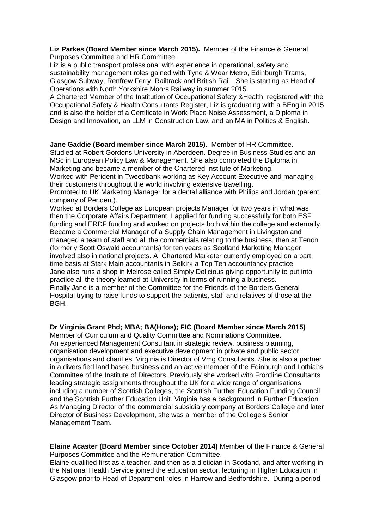**Liz Parkes (Board Member since March 2015).** Member of the Finance & General Purposes Committee and HR Committee.

Liz is a public transport professional with experience in operational, safety and sustainability management roles gained with Tyne & Wear Metro, Edinburgh Trams, Glasgow Subway, Renfrew Ferry, Railtrack and British Rail. She is starting as Head of Operations with North Yorkshire Moors Railway in summer 2015.

A Chartered Member of the Institution of Occupational Safety &Health, registered with the Occupational Safety & Health Consultants Register, Liz is graduating with a BEng in 2015 and is also the holder of a Certificate in Work Place Noise Assessment, a Diploma in Design and Innovation, an LLM in Construction Law, and an MA in Politics & English.

**Jane Gaddie (Board member since March 2015).** Member of HR Committee. Studied at Robert Gordons University in Aberdeen. Degree in Business Studies and an MSc in European Policy Law & Management. She also completed the Diploma in Marketing and became a member of the Chartered Institute of Marketing. Worked with Perident in Tweedbank working as Key Account Executive and managing

their customers throughout the world involving extensive travelling.

Promoted to UK Marketing Manager for a dental alliance with Philips and Jordan (parent company of Perident).

Worked at Borders College as European projects Manager for two years in what was then the Corporate Affairs Department. I applied for funding successfully for both ESF funding and ERDF funding and worked on projects both within the college and externally. Became a Commercial Manager of a Supply Chain Management in Livingston and managed a team of staff and all the commercials relating to the business, then at Tenon (formerly Scott Oswald accountants) for ten years as Scotland Marketing Manager involved also in national projects. A Chartered Marketer currently employed on a part time basis at Stark Main accountants in Selkirk a Top Ten accountancy practice. Jane also runs a shop in Melrose called Simply Delicious giving opportunity to put into practice all the theory learned at University in terms of running a business. Finally Jane is a member of the Committee for the Friends of the Borders General Hospital trying to raise funds to support the patients, staff and relatives of those at the BGH.

## **Dr Virginia Grant Phd; MBA; BA(Hons); FIC (Board Member since March 2015)**

Member of Curriculum and Quality Committee and Nominations Committee. An experienced Management Consultant in strategic review, business planning, organisation development and executive development in private and public sector organisations and charities. Virginia is Director of Vmg Consultants. She is also a partner in a diversified land based business and an active member of the Edinburgh and Lothians Committee of the Institute of Directors. Previously she worked with Frontline Consultants leading strategic assignments throughout the UK for a wide range of organisations including a number of Scottish Colleges, the Scottish Further Education Funding Council and the Scottish Further Education Unit. Virginia has a background in Further Education. As Managing Director of the commercial subsidiary company at Borders College and later Director of Business Development, she was a member of the College's Senior Management Team.

**Elaine Acaster (Board Member since October 2014)** Member of the Finance & General Purposes Committee and the Remuneration Committee.

Elaine qualified first as a teacher, and then as a dietician in Scotland, and after working in the National Health Service joined the education sector, lecturing in Higher Education in Glasgow prior to Head of Department roles in Harrow and Bedfordshire. During a period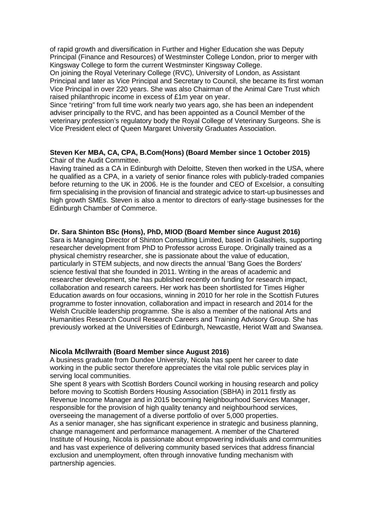of rapid growth and diversification in Further and Higher Education she was Deputy Principal (Finance and Resources) of Westminster College London, prior to merger with Kingsway College to form the current Westminster Kingsway College.

On joining the Royal Veterinary College (RVC), University of London, as Assistant Principal and later as Vice Principal and Secretary to Council, she became its first woman Vice Principal in over 220 years. She was also Chairman of the Animal Care Trust which raised philanthropic income in excess of £1m year on year.

Since "retiring" from full time work nearly two years ago, she has been an independent adviser principally to the RVC, and has been appointed as a Council Member of the veterinary profession's regulatory body the Royal College of Veterinary Surgeons. She is Vice President elect of Queen Margaret University Graduates Association.

#### **Steven Ker MBA, CA, CPA, B.Com(Hons) (Board Member since 1 October 2015)**  Chair of the Audit Committee.

Having trained as a CA in Edinburgh with Deloitte, Steven then worked in the USA, where he qualified as a CPA, in a variety of senior finance roles with publicly-traded companies before returning to the UK in 2006. He is the founder and CEO of Excelsior, a consulting firm specialising in the provision of financial and strategic advice to start-up businesses and high growth SMEs. Steven is also a mentor to directors of early-stage businesses for the Edinburgh Chamber of Commerce.

## **Dr. Sara Shinton BSc (Hons), PhD, MIOD (Board Member since August 2016)**

Sara is Managing Director of Shinton Consulting Limited, based in Galashiels, supporting researcher development from PhD to Professor across Europe. Originally trained as a physical chemistry researcher, she is passionate about the value of education, particularly in STEM subjects, and now directs the annual 'Bang Goes the Borders' science festival that she founded in 2011. Writing in the areas of academic and researcher development, she has published recently on funding for research impact, collaboration and research careers. Her work has been shortlisted for Times Higher Education awards on four occasions, winning in 2010 for her role in the Scottish Futures programme to foster innovation, collaboration and impact in research and 2014 for the Welsh Crucible leadership programme. She is also a member of the national Arts and Humanities Research Council Research Careers and Training Advisory Group. She has previously worked at the Universities of Edinburgh, Newcastle, Heriot Watt and Swansea.

## **Nicola McIlwraith (Board Member since August 2016)**

A business graduate from Dundee University, Nicola has spent her career to date working in the public sector therefore appreciates the vital role public services play in serving local communities.

She spent 8 years with Scottish Borders Council working in housing research and policy before moving to Scottish Borders Housing Association (SBHA) in 2011 firstly as Revenue Income Manager and in 2015 becoming Neighbourhood Services Manager, responsible for the provision of high quality tenancy and neighbourhood services, overseeing the management of a diverse portfolio of over 5,000 properties. As a senior manager, she has significant experience in strategic and business planning, change management and performance management. A member of the Chartered Institute of Housing, Nicola is passionate about empowering individuals and communities and has vast experience of delivering community based services that address financial exclusion and unemployment, often through innovative funding mechanism with partnership agencies.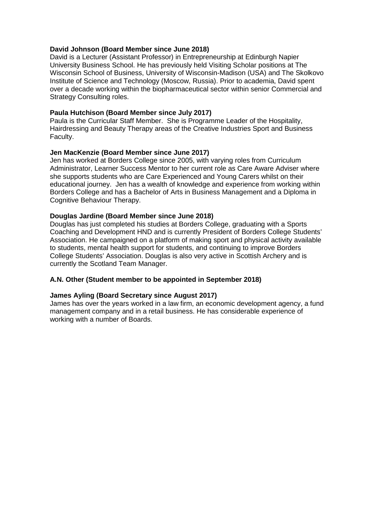#### **David Johnson (Board Member since June 2018)**

David is a Lecturer (Assistant Professor) in Entrepreneurship at Edinburgh Napier University Business School. He has previously held Visiting Scholar positions at The Wisconsin School of Business, University of Wisconsin-Madison (USA) and The Skolkovo Institute of Science and Technology (Moscow, Russia). Prior to academia, David spent over a decade working within the biopharmaceutical sector within senior Commercial and Strategy Consulting roles.

#### **Paula Hutchison (Board Member since July 2017)**

Paula is the Curricular Staff Member. She is Programme Leader of the Hospitality, Hairdressing and Beauty Therapy areas of the Creative Industries Sport and Business Faculty.

#### **Jen MacKenzie (Board Member since June 2017)**

Jen has worked at Borders College since 2005, with varying roles from Curriculum Administrator, Learner Success Mentor to her current role as Care Aware Adviser where she supports students who are Care Experienced and Young Carers whilst on their educational journey. Jen has a wealth of knowledge and experience from working within Borders College and has a Bachelor of Arts in Business Management and a Diploma in Cognitive Behaviour Therapy.

#### **Douglas Jardine (Board Member since June 2018)**

Douglas has just completed his studies at Borders College, graduating with a Sports Coaching and Development HND and is currently President of Borders College Students' Association. He campaigned on a platform of making sport and physical activity available to students, mental health support for students, and continuing to improve Borders College Students' Association. Douglas is also very active in Scottish Archery and is currently the Scotland Team Manager.

## **A.N. Other (Student member to be appointed in September 2018)**

## **James Ayling (Board Secretary since August 2017)**

James has over the years worked in a law firm, an economic development agency, a fund management company and in a retail business. He has considerable experience of working with a number of Boards.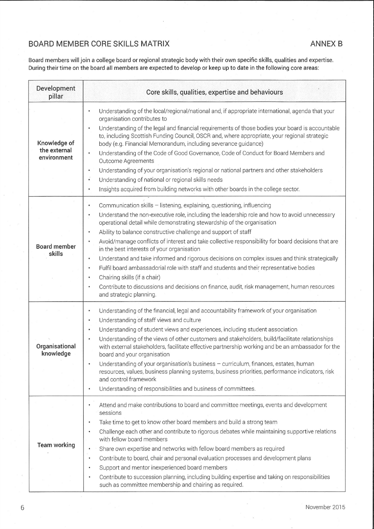## **BOARD MEMBER CORE SKILLS MATRIX**

Board members will join a college board or regional strategic body with their own specific skills, qualities and expertise. During their time on the board all members are expected to develop or keep up to date in the following core areas:

| Development<br>pillar                       | Core skills, qualities, expertise and behaviours                                                                                                                                                                                                                                                                                                                                                                                                                                                                                                                                                                                                                                                                                                                                                                                                                                                                                      |
|---------------------------------------------|---------------------------------------------------------------------------------------------------------------------------------------------------------------------------------------------------------------------------------------------------------------------------------------------------------------------------------------------------------------------------------------------------------------------------------------------------------------------------------------------------------------------------------------------------------------------------------------------------------------------------------------------------------------------------------------------------------------------------------------------------------------------------------------------------------------------------------------------------------------------------------------------------------------------------------------|
| Knowledge of<br>the external<br>environment | Understanding of the local/regional/national and, if appropriate international, agenda that your<br>$\bullet$<br>organisation contributes to<br>Understanding of the legal and financial requirements of those bodies your board is accountable<br>$\bullet$<br>to, including Scottish Funding Council, OSCR and, where appropriate, your regional strategic<br>body (e.g. Financial Memorandum, including severance guidance)<br>Understanding of the Code of Good Governance, Code of Conduct for Board Members and<br>$\bullet$<br>Outcome Agreements<br>Understanding of your organisation's regional or national partners and other stakeholders<br>$\bullet$<br>$\ddot{\bullet}$<br>Understanding of national or regional skills needs<br>Insights acquired from building networks with other boards in the college sector.<br>$\bullet$                                                                                        |
| <b>Board member</b><br>skills               | Communication skills - listening, explaining, questioning, influencing<br>$\bullet$<br>Understand the non-executive role, including the leadership role and how to avoid unnecessary<br>$\bullet$<br>operational detail while demonstrating stewardship of the organisation<br>Ability to balance constructive challenge and support of staff<br>$\bullet$<br>Avoid/manage conflicts of interest and take collective responsibility for board decisions that are<br>$\bullet$<br>in the best interests of your organisation<br>Understand and take informed and rigorous decisions on complex issues and think strategically<br>$\bullet$<br>Fulfil board ambassadorial role with staff and students and their representative bodies<br>$\bullet$<br>Chairing skills (if a chair)<br>$\bullet$<br>Contribute to discussions and decisions on finance, audit, risk management, human resources<br>$\bullet$<br>and strategic planning. |
| Organisational<br>knowledge                 | Understanding of the financial, legal and accountability framework of your organisation<br>$\bullet$<br>Understanding of staff views and culture<br>$\bullet$<br>Understanding of student views and experiences, including student association<br>$\bullet$<br>Understanding of the views of other customers and stakeholders, build/facilitate relationships<br>$\bullet$<br>with external stakeholders, facilitate effective partnership working and be an ambassador for the<br>board and your organisation<br>Understanding of your organisation's business - curriculum, finances, estates, human<br>resources, values, business planning systems, business priorities, performance indicators, risk<br>and control framework<br>Understanding of responsibilities and business of committees.<br>$\bullet$                                                                                                                      |
| <b>Team working</b>                         | Attend and make contributions to board and committee meetings, events and development<br>sessions<br>Take time to get to know other board members and build a strong team<br>$\bullet$<br>Challenge each other and contribute to rigorous debates while maintaining supportive relations<br>$\bullet$<br>with fellow board members<br>Share own expertise and networks with fellow board members as required<br>$\bullet$<br>Contribute to board, chair and personal evaluation processes and development plans<br>$\bullet$<br>Support and mentor inexperienced board members<br>$\bullet$<br>Contribute to succession planning, including building expertise and taking on responsibilities<br>$\bullet$<br>such as committee membership and chairing as required.                                                                                                                                                                  |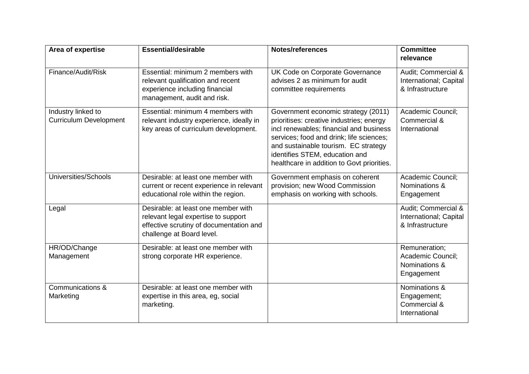| Area of expertise                                   | <b>Essential/desirable</b>                                                                                                                         | <b>Notes/references</b>                                                                                                                                                                                                                                                                        | <b>Committee</b><br>relevance                                     |
|-----------------------------------------------------|----------------------------------------------------------------------------------------------------------------------------------------------------|------------------------------------------------------------------------------------------------------------------------------------------------------------------------------------------------------------------------------------------------------------------------------------------------|-------------------------------------------------------------------|
| Finance/Audit/Risk                                  | Essential: minimum 2 members with<br>relevant qualification and recent<br>experience including financial<br>management, audit and risk.            | UK Code on Corporate Governance<br>advises 2 as minimum for audit<br>committee requirements                                                                                                                                                                                                    | Audit; Commercial &<br>International; Capital<br>& Infrastructure |
| Industry linked to<br><b>Curriculum Development</b> | Essential: minimum 4 members with<br>relevant industry experience, ideally in<br>key areas of curriculum development.                              | Government economic strategy (2011)<br>prioritises: creative industries; energy<br>incl renewables; financial and business<br>services; food and drink; life sciences;<br>and sustainable tourism. EC strategy<br>identifies STEM, education and<br>healthcare in addition to Govt priorities. | Academic Council;<br>Commercial &<br>International                |
| Universities/Schools                                | Desirable: at least one member with<br>current or recent experience in relevant<br>educational role within the region.                             | Government emphasis on coherent<br>provision; new Wood Commission<br>emphasis on working with schools.                                                                                                                                                                                         | Academic Council;<br>Nominations &<br>Engagement                  |
| Legal                                               | Desirable: at least one member with<br>relevant legal expertise to support<br>effective scrutiny of documentation and<br>challenge at Board level. |                                                                                                                                                                                                                                                                                                | Audit; Commercial &<br>International; Capital<br>& Infrastructure |
| HR/OD/Change<br>Management                          | Desirable: at least one member with<br>strong corporate HR experience.                                                                             |                                                                                                                                                                                                                                                                                                | Remuneration;<br>Academic Council;<br>Nominations &<br>Engagement |
| Communications &<br>Marketing                       | Desirable: at least one member with<br>expertise in this area, eg, social<br>marketing.                                                            |                                                                                                                                                                                                                                                                                                | Nominations &<br>Engagement;<br>Commercial &<br>International     |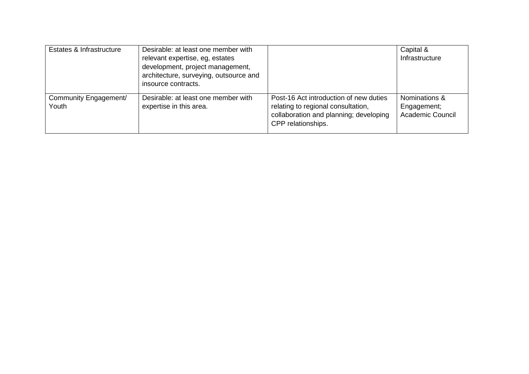| Estates & Infrastructure       | Desirable: at least one member with<br>relevant expertise, eg, estates<br>development, project management,<br>architecture, surveying, outsource and<br>insource contracts. |                                                                                                                                              | Capital &<br>Infrastructure                             |
|--------------------------------|-----------------------------------------------------------------------------------------------------------------------------------------------------------------------------|----------------------------------------------------------------------------------------------------------------------------------------------|---------------------------------------------------------|
| Community Engagement/<br>Youth | Desirable: at least one member with<br>expertise in this area.                                                                                                              | Post-16 Act introduction of new duties<br>relating to regional consultation,<br>collaboration and planning; developing<br>CPP relationships. | Nominations &<br>Engagement;<br><b>Academic Council</b> |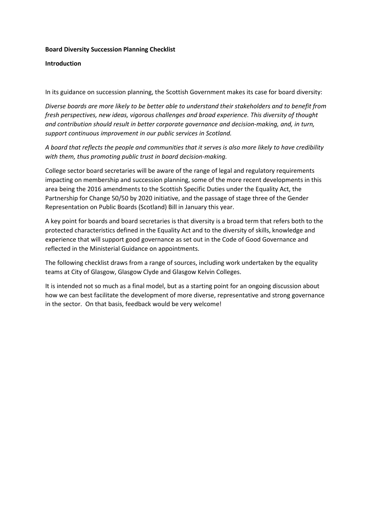#### **Board Diversity Succession Planning Checklist**

#### **Introduction**

In its guidance on succession planning, the Scottish Government makes its case for board diversity:

*Diverse boards are more likely to be better able to understand their stakeholders and to benefit from fresh perspectives, new ideas, vigorous challenges and broad experience. This diversity of thought and contribution should result in better corporate governance and decision-making, and, in turn, support continuous improvement in our public services in Scotland.*

*A board that reflects the people and communities that it serves is also more likely to have credibility with them, thus promoting public trust in board decision-making.*

College sector board secretaries will be aware of the range of legal and regulatory requirements impacting on membership and succession planning, some of the more recent developments in this area being the 2016 amendments to the Scottish Specific Duties under the Equality Act, the Partnership for Change 50/50 by 2020 initiative, and the passage of stage three of the Gender Representation on Public Boards (Scotland) Bill in January this year.

A key point for boards and board secretaries is that diversity is a broad term that refers both to the protected characteristics defined in the Equality Act and to the diversity of skills, knowledge and experience that will support good governance as set out in the Code of Good Governance and reflected in the Ministerial Guidance on appointments.

The following checklist draws from a range of sources, including work undertaken by the equality teams at City of Glasgow, Glasgow Clyde and Glasgow Kelvin Colleges.

It is intended not so much as a final model, but as a starting point for an ongoing discussion about how we can best facilitate the development of more diverse, representative and strong governance in the sector. On that basis, feedback would be very welcome!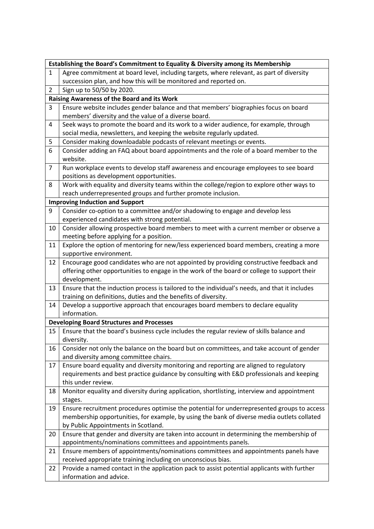|                                                  | Establishing the Board's Commitment to Equality & Diversity among its Membership              |  |  |
|--------------------------------------------------|-----------------------------------------------------------------------------------------------|--|--|
| $\mathbf{1}$                                     | Agree commitment at board level, including targets, where relevant, as part of diversity      |  |  |
|                                                  | succession plan, and how this will be monitored and reported on.                              |  |  |
| 2                                                | Sign up to 50/50 by 2020.                                                                     |  |  |
|                                                  | <b>Raising Awareness of the Board and its Work</b>                                            |  |  |
| 3                                                | Ensure website includes gender balance and that members' biographies focus on board           |  |  |
|                                                  | members' diversity and the value of a diverse board.                                          |  |  |
| 4                                                | Seek ways to promote the board and its work to a wider audience, for example, through         |  |  |
|                                                  | social media, newsletters, and keeping the website regularly updated.                         |  |  |
| 5                                                | Consider making downloadable podcasts of relevant meetings or events.                         |  |  |
| 6                                                | Consider adding an FAQ about board appointments and the role of a board member to the         |  |  |
|                                                  | website.                                                                                      |  |  |
| $\overline{7}$                                   | Run workplace events to develop staff awareness and encourage employees to see board          |  |  |
|                                                  | positions as development opportunities.                                                       |  |  |
| 8                                                | Work with equality and diversity teams within the college/region to explore other ways to     |  |  |
|                                                  | reach underrepresented groups and further promote inclusion.                                  |  |  |
|                                                  | <b>Improving Induction and Support</b>                                                        |  |  |
| 9                                                | Consider co-option to a committee and/or shadowing to engage and develop less                 |  |  |
|                                                  | experienced candidates with strong potential.                                                 |  |  |
| 10                                               | Consider allowing prospective board members to meet with a current member or observe a        |  |  |
|                                                  | meeting before applying for a position.                                                       |  |  |
| 11                                               | Explore the option of mentoring for new/less experienced board members, creating a more       |  |  |
|                                                  | supportive environment.                                                                       |  |  |
| 12                                               | Encourage good candidates who are not appointed by providing constructive feedback and        |  |  |
|                                                  | offering other opportunities to engage in the work of the board or college to support their   |  |  |
|                                                  | development.                                                                                  |  |  |
| 13                                               | Ensure that the induction process is tailored to the individual's needs, and that it includes |  |  |
|                                                  | training on definitions, duties and the benefits of diversity.                                |  |  |
| 14                                               | Develop a supportive approach that encourages board members to declare equality               |  |  |
|                                                  | information.                                                                                  |  |  |
| <b>Developing Board Structures and Processes</b> |                                                                                               |  |  |
| 15                                               | Ensure that the board's business cycle includes the regular review of skills balance and      |  |  |
|                                                  | diversity.                                                                                    |  |  |
| 16                                               | Consider not only the balance on the board but on committees, and take account of gender      |  |  |
|                                                  | and diversity among committee chairs.                                                         |  |  |
| 17                                               | Ensure board equality and diversity monitoring and reporting are aligned to regulatory        |  |  |
|                                                  | requirements and best practice guidance by consulting with E&D professionals and keeping      |  |  |
|                                                  | this under review.                                                                            |  |  |
| 18                                               | Monitor equality and diversity during application, shortlisting, interview and appointment    |  |  |
|                                                  | stages.                                                                                       |  |  |
| 19                                               | Ensure recruitment procedures optimise the potential for underrepresented groups to access    |  |  |
|                                                  | membership opportunities, for example, by using the bank of diverse media outlets collated    |  |  |
|                                                  | by Public Appointments in Scotland.                                                           |  |  |
| 20                                               | Ensure that gender and diversity are taken into account in determining the membership of      |  |  |
|                                                  | appointments/nominations committees and appointments panels.                                  |  |  |
| 21                                               | Ensure members of appointments/nominations committees and appointments panels have            |  |  |
|                                                  | received appropriate training including on unconscious bias.                                  |  |  |
| 22                                               | Provide a named contact in the application pack to assist potential applicants with further   |  |  |
|                                                  | information and advice.                                                                       |  |  |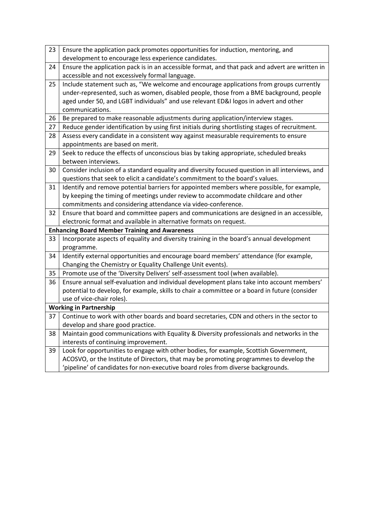| 23 | Ensure the application pack promotes opportunities for induction, mentoring, and                |
|----|-------------------------------------------------------------------------------------------------|
|    | development to encourage less experience candidates.                                            |
| 24 | Ensure the application pack is in an accessible format, and that pack and advert are written in |
|    | accessible and not excessively formal language.                                                 |
| 25 | Include statement such as, "We welcome and encourage applications from groups currently         |
|    | under-represented, such as women, disabled people, those from a BME background, people          |
|    | aged under 50, and LGBT individuals" and use relevant ED&I logos in advert and other            |
|    | communications.                                                                                 |
| 26 | Be prepared to make reasonable adjustments during application/interview stages.                 |
| 27 | Reduce gender identification by using first initials during shortlisting stages of recruitment. |
| 28 | Assess every candidate in a consistent way against measurable requirements to ensure            |
|    | appointments are based on merit.                                                                |
| 29 | Seek to reduce the effects of unconscious bias by taking appropriate, scheduled breaks          |
|    | between interviews.                                                                             |
| 30 | Consider inclusion of a standard equality and diversity focused question in all interviews, and |
|    | questions that seek to elicit a candidate's commitment to the board's values.                   |
| 31 | Identify and remove potential barriers for appointed members where possible, for example,       |
|    | by keeping the timing of meetings under review to accommodate childcare and other               |
|    | commitments and considering attendance via video-conference.                                    |
| 32 | Ensure that board and committee papers and communications are designed in an accessible,        |
|    | electronic format and available in alternative formats on request.                              |
|    | <b>Enhancing Board Member Training and Awareness</b>                                            |
| 33 | Incorporate aspects of equality and diversity training in the board's annual development        |
|    | programme.                                                                                      |
| 34 | Identify external opportunities and encourage board members' attendance (for example,           |
|    | Changing the Chemistry or Equality Challenge Unit events).                                      |
| 35 | Promote use of the 'Diversity Delivers' self-assessment tool (when available).                  |
| 36 | Ensure annual self-evaluation and individual development plans take into account members'       |
|    | potential to develop, for example, skills to chair a committee or a board in future (consider   |
|    | use of vice-chair roles).                                                                       |
|    | <b>Working in Partnership</b>                                                                   |
| 37 | Continue to work with other boards and board secretaries, CDN and others in the sector to       |
|    | develop and share good practice.                                                                |
| 38 | Maintain good communications with Equality & Diversity professionals and networks in the        |
|    | interests of continuing improvement.                                                            |
| 39 | Look for opportunities to engage with other bodies, for example, Scottish Government,           |
|    | ACOSVO, or the Institute of Directors, that may be promoting programmes to develop the          |
|    | 'pipeline' of candidates for non-executive board roles from diverse backgrounds.                |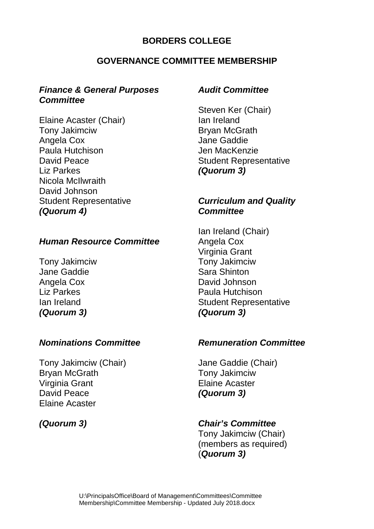## **BORDERS COLLEGE**

## **GOVERNANCE COMMITTEE MEMBERSHIP**

## *Finance & General Purposes Committee*

Elaine Acaster (Chair) Tony Jakimciw Angela Cox Paula Hutchison David Peace Liz Parkes Nicola McIlwraith David Johnson Student Representative *(Quorum 4)*

## *Human Resource Committee*

Tony Jakimciw Jane Gaddie Angela Cox Liz Parkes Ian Ireland *(Quorum 3)*

## *Nominations Committee*

Tony Jakimciw (Chair) Bryan McGrath Virginia Grant David Peace Elaine Acaster

## *(Quorum 3)*

## *Audit Committee*

Steven Ker (Chair) Ian Ireland Bryan McGrath Jane Gaddie Jen MacKenzie Student Representative *(Quorum 3)*

## *Curriculum and Quality Committee*

Ian Ireland (Chair) Angela Cox Virginia Grant Tony Jakimciw Sara Shinton David Johnson Paula Hutchison Student Representative *(Quorum 3)*

## *Remuneration Committee*

Jane Gaddie (Chair) Tony Jakimciw Elaine Acaster *(Quorum 3)*

## *Chair's Committee*

Tony Jakimciw (Chair) (members as required) (*Quorum 3)*